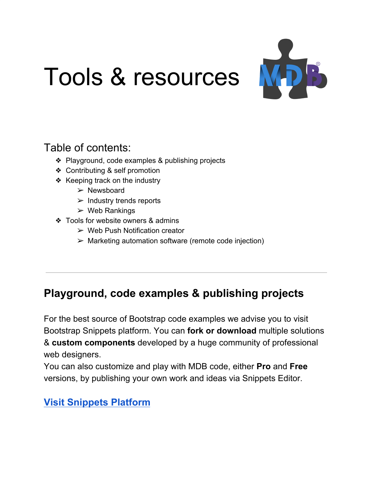# Tools & resources



# Table of contents:

- ❖ Playground, code examples & publishing projects
- ❖ Contributing & self promotion
- ❖ Keeping track on the industry
	- $\triangleright$  Newsboard
	- $\triangleright$  Industry trends reports
	- $\triangleright$  Web Rankings
- ❖ Tools for website owners & admins
	- $\triangleright$  Web Push Notification creator
	- $\triangleright$  Marketing automation software (remote code injection)

# **Playground, code examples & publishing projects**

For the best source of Bootstrap code examples we advise you to visit Bootstrap Snippets platform. You can **fork or download** multiple solutions & **custom components** developed by a huge community of professional web designers.

You can also customize and play with MDB code, either **Pro** and **Free** versions, by publishing your own work and ideas via Snippets Editor.

## **[Visit Snippets Platform](https://mdbootstrap.com/snippets/?utm_campaign=ToolsPaper&utm_source=jquery)**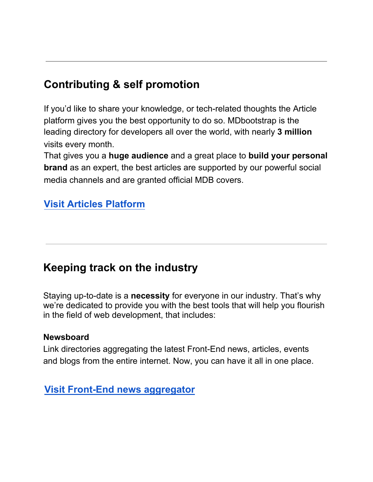# **Contributing & self promotion**

If you'd like to share your knowledge, or tech-related thoughts the Article platform gives you the best opportunity to do so. MDbootstrap is the leading directory for developers all over the world, with nearly **3 million** visits every month.

That gives you a **huge audience** and a great place to **build your personal brand** as an expert, the best articles are supported by our powerful social media channels and are granted official MDB covers.

### **Visit Articles [Platform](https://mdbootstrap.com/articles/?utm_campaign=ToolsPaper&utm_source=jquery)**

## **Keeping track on the industry**

Staying up-to-date is a **necessity** for everyone in our industry. That's why we're dedicated to provide you with the best tools that will help you flourish in the field of web development, that includes:

#### **Newsboard**

Link directories aggregating the latest Front-End news, articles, events and blogs from the entire internet. Now, you can have it all in one place.

#### **[Visit Front-End news aggregator](https://mdbootstrap.com/news/frontend/?utm_campaign=ToolsPaper&utm_source=jquery)**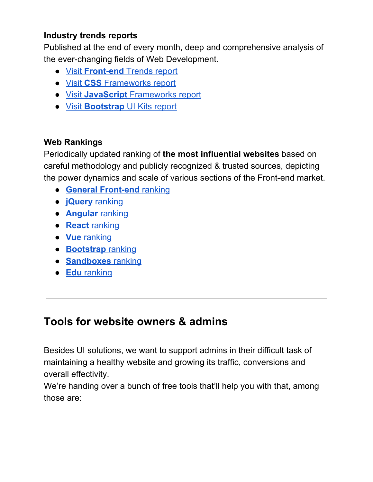#### **Industry trends reports**

Published at the end of every month, deep and comprehensive analysis of the ever-changing fields of Web Development.

- [Visit](https://mdbootstrap.com/publications/front-end/?utm_campaign=ToolsPaper&utm_source=jquery) **[Front-end](https://mdbootstrap.com/publications/front-end/?utm_campaign=ToolsPaper&utm_source=jquery)** [Trends report](https://mdbootstrap.com/publications/front-end/?utm_campaign=ToolsPaper&utm_source=jquery)
- [Visit](https://mdbootstrap.com/publications/front-end/best-css-frameworks-libraries/?utm_campaign=ToolsPaper&utm_source=jquery) **[CSS](https://mdbootstrap.com/publications/front-end/best-css-frameworks-libraries/?utm_campaign=ToolsPaper&utm_source=jquery)** [Frameworks report](https://mdbootstrap.com/publications/front-end/best-css-frameworks-libraries/?utm_campaign=ToolsPaper&utm_source=jquery)
- [Visit](https://mdbootstrap.com/publications/front-end/best-javascript-frameworks-libraries/?utm_campaign=ToolsPaper&utm_source=jquery) **[JavaScript](https://mdbootstrap.com/publications/front-end/best-javascript-frameworks-libraries/?utm_campaign=ToolsPaper&utm_source=jquery)** [Frameworks report](https://mdbootstrap.com/publications/front-end/best-javascript-frameworks-libraries/?utm_campaign=ToolsPaper&utm_source=jquery)
- [Visit](https://mdbootstrap.com/publications/front-end/bootstrap-ui-kits/?utm_campaign=ToolsPaper&utm_source=jquery) **[Bootstrap](https://mdbootstrap.com/publications/front-end/bootstrap-ui-kits/?utm_campaign=ToolsPaper&utm_source=jquery)** [UI Kits report](https://mdbootstrap.com/publications/front-end/bootstrap-ui-kits/?utm_campaign=ToolsPaper&utm_source=jquery)

#### **Web Rankings**

Periodically updated ranking of **the most influential websites** based on careful methodology and publicly recognized & trusted sources, depicting the power dynamics and scale of various sections of the Front-end market.

- **[General Front-end](https://mdbootstrap.com/publications/front-end/rankings/general/?utm_campaign=ToolsPaper&utm_source=jquery)** [ranking](https://mdbootstrap.com/publications/front-end/rankings/general/?utm_campaign=ToolsPaper&utm_source=jquery)
- **[jQuery](https://mdbootstrap.com/publications/front-end/rankings/jquery/?utm_campaign=ToolsPaper&utm_source=jquery)** [ranking](https://mdbootstrap.com/publications/front-end/rankings/jquery/?utm_campaign=ToolsPaper&utm_source=jquery)
- **[Angular](https://mdbootstrap.com/publications/front-end/rankings/angular/?utm_campaign=ToolsPaper&utm_source=jquery)** [ranking](https://mdbootstrap.com/publications/front-end/rankings/angular/?utm_campaign=ToolsPaper&utm_source=jquery)
- **[React](https://mdbootstrap.com/publications/front-end/rankings/react/?utm_campaign=ToolsPaper&utm_source=jquery)** [ranking](https://mdbootstrap.com/publications/front-end/rankings/react/?utm_campaign=ToolsPaper&utm_source=jquery)
- **[Vue](https://mdbootstrap.com/publications/front-end/rankings/vue/?utm_campaign=ToolsPaper&utm_source=jquery)** [ranking](https://mdbootstrap.com/publications/front-end/rankings/vue/?utm_campaign=ToolsPaper&utm_source=jquery)
- **[Bootstrap](https://mdbootstrap.com/publications/front-end/rankings/bootstrap/?utm_campaign=ToolsPaper&utm_source=jquery)** [ranking](https://mdbootstrap.com/publications/front-end/rankings/bootstrap/?utm_campaign=ToolsPaper&utm_source=jquery)
- **[Sandboxes](https://mdbootstrap.com/publications/front-end/rankings/editors/?utm_campaign=ToolsPaper&utm_source=jquery)** [ranking](https://mdbootstrap.com/publications/front-end/rankings/editors/?utm_campaign=ToolsPaper&utm_source=jquery)
- **[Edu](https://mdbootstrap.com/publications/front-end/rankings/education/?utm_campaign=ToolsPaper&utm_source=jquery)** [ranking](https://mdbootstrap.com/publications/front-end/rankings/education/?utm_campaign=ToolsPaper&utm_source=jquery)

# **Tools for website owners & admins**

Besides UI solutions, we want to support admins in their difficult task of maintaining a healthy website and growing its traffic, conversions and overall effectivity.

We're handing over a bunch of free tools that'll help you with that, among those are: